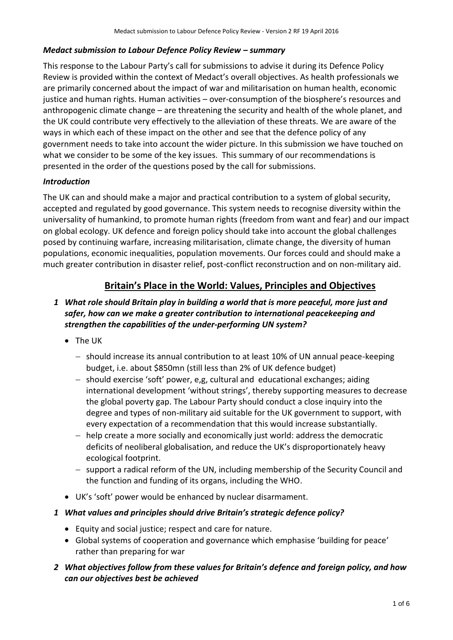#### *Medact submission to Labour Defence Policy Review – summary*

This response to the Labour Party's call for submissions to advise it during its Defence Policy Review is provided within the context of Medact's overall objectives. As health professionals we are primarily concerned about the impact of war and militarisation on human health, economic justice and human rights. Human activities – over-consumption of the biosphere's resources and anthropogenic climate change – are threatening the security and health of the whole planet, and the UK could contribute very effectively to the alleviation of these threats. We are aware of the ways in which each of these impact on the other and see that the defence policy of any government needs to take into account the wider picture. In this submission we have touched on what we consider to be some of the key issues. This summary of our recommendations is presented in the order of the questions posed by the call for submissions.

# *Introduction*

The UK can and should make a major and practical contribution to a system of global security, accepted and regulated by good governance. This system needs to recognise diversity within the universality of humankind, to promote human rights (freedom from want and fear) and our impact on global ecology. UK defence and foreign policy should take into account the global challenges posed by continuing warfare, increasing militarisation, climate change, the diversity of human populations, economic inequalities, population movements. Our forces could and should make a much greater contribution in disaster relief, post-conflict reconstruction and on non-military aid.

# **Britain's Place in the World: Values, Principles and Objectives**

# *1 What role should Britain play in building a world that is more peaceful, more just and safer, how can we make a greater contribution to international peacekeeping and strengthen the capabilities of the under-performing UN system?*

- The UK
	- should increase its annual contribution to at least 10% of UN annual peace-keeping budget, i.e. about \$850mn (still less than 2% of UK defence budget)
	- should exercise 'soft' power, e,g, cultural and educational exchanges; aiding international development 'without strings', thereby supporting measures to decrease the global poverty gap. The Labour Party should conduct a close inquiry into the degree and types of non-military aid suitable for the UK government to support, with every expectation of a recommendation that this would increase substantially.
	- help create a more socially and economically just world: address the democratic deficits of neoliberal globalisation, and reduce the UK's disproportionately heavy ecological footprint.
	- support a radical reform of the UN, including membership of the Security Council and the function and funding of its organs, including the WHO.
- UK's 'soft' power would be enhanced by nuclear disarmament.
- *1 What values and principles should drive Britain's strategic defence policy?*
	- Equity and social justice; respect and care for nature.
	- Global systems of cooperation and governance which emphasise 'building for peace' rather than preparing for war
- *2 What objectives follow from these values for Britain's defence and foreign policy, and how can our objectives best be achieved*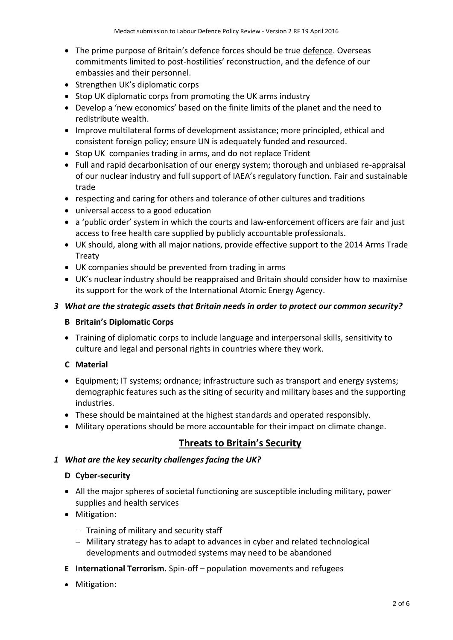- The prime purpose of Britain's defence forces should be true defence. Overseas commitments limited to post-hostilities' reconstruction, and the defence of our embassies and their personnel.
- Strengthen UK's diplomatic corps
- Stop UK diplomatic corps from promoting the UK arms industry
- Develop a 'new economics' based on the finite limits of the planet and the need to redistribute wealth.
- Improve multilateral forms of development assistance; more principled, ethical and consistent foreign policy; ensure UN is adequately funded and resourced.
- Stop UK companies trading in arms, and do not replace Trident
- Full and rapid decarbonisation of our energy system; thorough and unbiased re-appraisal of our nuclear industry and full support of IAEA's regulatory function. Fair and sustainable trade
- respecting and caring for others and tolerance of other cultures and traditions
- universal access to a good education
- a 'public order' system in which the courts and law-enforcement officers are fair and just access to free health care supplied by publicly accountable professionals.
- UK should, along with all major nations, provide effective support to the 2014 Arms Trade Treaty
- UK companies should be prevented from trading in arms
- UK's nuclear industry should be reappraised and Britain should consider how to maximise its support for the work of the International Atomic Energy Agency.

#### *3 What are the strategic assets that Britain needs in order to protect our common security?*

#### **B Britain's Diplomatic Corps**

 Training of diplomatic corps to include language and interpersonal skills, sensitivity to culture and legal and personal rights in countries where they work.

# **C Material**

- Equipment; IT systems; ordnance; infrastructure such as transport and energy systems; demographic features such as the siting of security and military bases and the supporting industries.
- These should be maintained at the highest standards and operated responsibly.
- Military operations should be more accountable for their impact on climate change.

# **Threats to Britain's Security**

#### *1 What are the key security challenges facing the UK?*

#### **D Cyber-security**

- All the major spheres of societal functioning are susceptible including military, power supplies and health services
- Mitigation:
	- $-$  Training of military and security staff
	- Military strategy has to adapt to advances in cyber and related technological developments and outmoded systems may need to be abandoned
- **E International Terrorism.** Spin-off population movements and refugees
- Mitigation: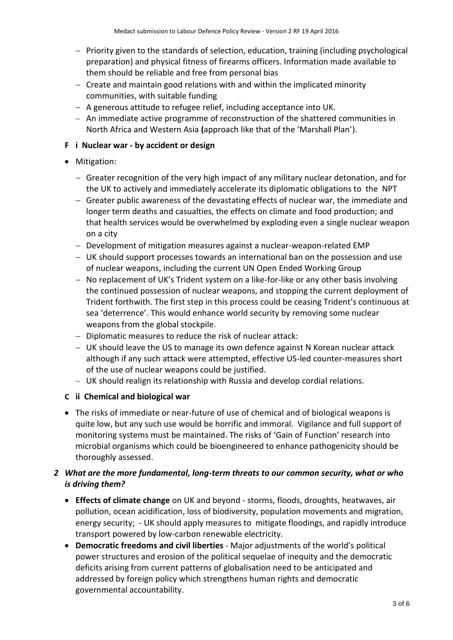- $-$  Priority given to the standards of selection, education, training (including psychological preparation) and physical fitness of firearms officers. Information made available to them should be reliable and free from personal bias
- $-$  Create and maintain good relations with and within the implicated minority communities, with suitable funding
- $-$  A generous attitude to refugee relief, including acceptance into UK.
- An immediate active programme of reconstruction of the shattered communities in North Africa and Western Asia **(**approach like that of the 'Marshall Plan').

# **F i Nuclear war - by accident or design**

# • Mitigation:

- $-$  Greater recognition of the very high impact of any military nuclear detonation, and for the UK to actively and immediately accelerate its diplomatic obligations to the NPT
- Greater public awareness of the devastating effects of nuclear war, the immediate and longer term deaths and casualties, the effects on climate and food production; and that health services would be overwhelmed by exploding even a single nuclear weapon on a city
- Development of mitigation measures against a nuclear-weapon-related EMP
- UK should support processes towards an international ban on the possession and use of nuclear weapons, including the current UN Open Ended Working Group
- $-$  No replacement of UK's Trident system on a like-for-like or any other basis involving the continued possession of nuclear weapons, and stopping the current deployment of Trident forthwith. The first step in this process could be ceasing Trident's continuous at sea 'deterrence'. This would enhance world security by removing some nuclear weapons from the global stockpile.
- Diplomatic measures to reduce the risk of nuclear attack:
- UK should leave the US to manage its own defence against N Korean nuclear attack although if any such attack were attempted, effective US-led counter-measures short of the use of nuclear weapons could be justified.
- UK should realign its relationship with Russia and develop cordial relations.

#### **C ii Chemical and biological war**

• The risks of immediate or near-future of use of chemical and of biological weapons is quite low, but any such use would be horrific and immoral. Vigilance and full support of monitoring systems must be maintained. The risks of 'Gain of Function' research into microbial organisms which could be bioengineered to enhance pathogenicity should be thoroughly assessed.

# *2 What are the more fundamental, long-term threats to our common security, what or who is driving them?*

- **Effects of climate change** on UK and beyond storms, floods, droughts, heatwaves, air pollution, ocean acidification, loss of biodiversity, population movements and migration, energy security; - UK should apply measures to mitigate floodings, and rapidly introduce transport powered by low-carbon renewable electricity.
- **Democratic freedoms and civil liberties** Major adjustments of the world's political power structures and erosion of the political sequelae of inequity and the democratic deficits arising from current patterns of globalisation need to be anticipated and addressed by foreign policy which strengthens human rights and democratic governmental accountability.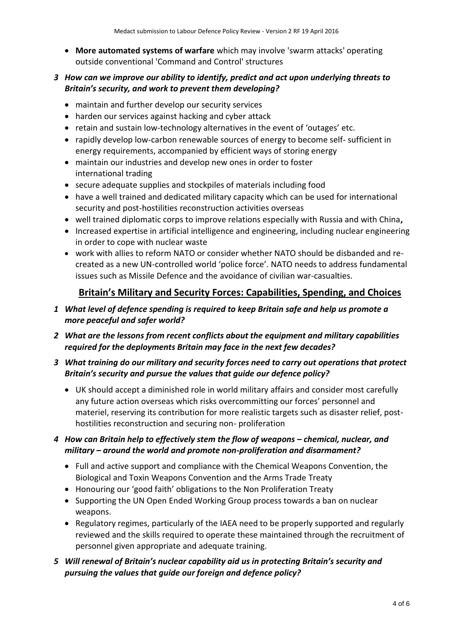**More automated systems of warfare** which may involve 'swarm attacks' operating outside conventional 'Command and Control' structures

### *3 How can we improve our ability to identify, predict and act upon underlying threats to Britain's security, and work to prevent them developing?*

- maintain and further develop our security services
- harden our services against hacking and cyber attack
- retain and sustain low-technology alternatives in the event of 'outages' etc.
- rapidly develop low-carbon renewable sources of energy to become self- sufficient in energy requirements, accompanied by efficient ways of storing energy
- maintain our industries and develop new ones in order to foster international trading
- secure adequate supplies and stockpiles of materials including food
- have a well trained and dedicated military capacity which can be used for international security and post-hostilities reconstruction activities overseas
- well trained diplomatic corps to improve relations especially with Russia and with China**,**
- Increased expertise in artificial intelligence and engineering, including nuclear engineering in order to cope with nuclear waste
- work with allies to reform NATO or consider whether NATO should be disbanded and recreated as a new UN-controlled world 'police force'. NATO needs to address fundamental issues such as Missile Defence and the avoidance of civilian war-casualties.

# **Britain's Military and Security Forces: Capabilities, Spending, and Choices**

- *1 What level of defence spending is required to keep Britain safe and help us promote a more peaceful and safer world?*
- *2 What are the lessons from recent conflicts about the equipment and military capabilities required for the deployments Britain may face in the next few decades?*
- *3 What training do our military and security forces need to carry out operations that protect Britain's security and pursue the values that guide our defence policy?*
	- UK should accept a diminished role in world military affairs and consider most carefully any future action overseas which risks overcommitting our forces' personnel and materiel, reserving its contribution for more realistic targets such as disaster relief, posthostilities reconstruction and securing non- proliferation

# *4 How can Britain help to effectively stem the flow of weapons – chemical, nuclear, and military – around the world and promote non-proliferation and disarmament?*

- Full and active support and compliance with the Chemical Weapons Convention, the Biological and Toxin Weapons Convention and the Arms Trade Treaty
- Honouring our 'good faith' obligations to the Non Proliferation Treaty
- Supporting the UN Open Ended Working Group process towards a ban on nuclear weapons.
- Regulatory regimes, particularly of the IAEA need to be properly supported and regularly reviewed and the skills required to operate these maintained through the recruitment of personnel given appropriate and adequate training.
- *5 Will renewal of Britain's nuclear capability aid us in protecting Britain's security and pursuing the values that guide our foreign and defence policy?*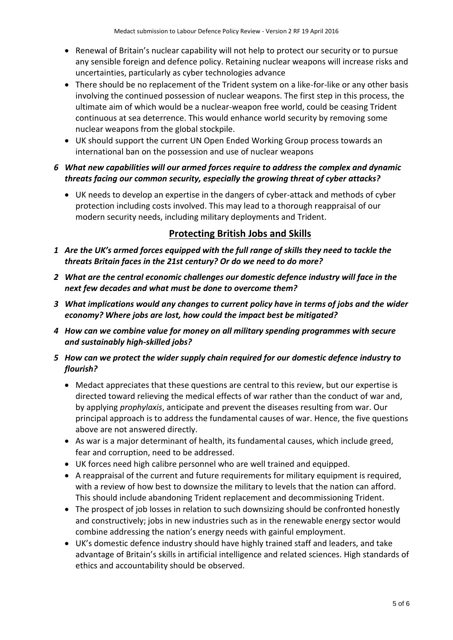- Renewal of Britain's nuclear capability will not help to protect our security or to pursue any sensible foreign and defence policy. Retaining nuclear weapons will increase risks and uncertainties, particularly as cyber technologies advance
- There should be no replacement of the Trident system on a like-for-like or any other basis involving the continued possession of nuclear weapons. The first step in this process, the ultimate aim of which would be a nuclear-weapon free world, could be ceasing Trident continuous at sea deterrence. This would enhance world security by removing some nuclear weapons from the global stockpile.
- UK should support the current UN Open Ended Working Group process towards an international ban on the possession and use of nuclear weapons
- *6 What new capabilities will our armed forces require to address the complex and dynamic threats facing our common security, especially the growing threat of cyber attacks?*
	- UK needs to develop an expertise in the dangers of cyber-attack and methods of cyber protection including costs involved. This may lead to a thorough reappraisal of our modern security needs, including military deployments and Trident.

# **Protecting British Jobs and Skills**

- *1 Are the UK's armed forces equipped with the full range of skills they need to tackle the threats Britain faces in the 21st century? Or do we need to do more?*
- *2 What are the central economic challenges our domestic defence industry will face in the next few decades and what must be done to overcome them?*
- *3 What implications would any changes to current policy have in terms of jobs and the wider economy? Where jobs are lost, how could the impact best be mitigated?*
- *4 How can we combine value for money on all military spending programmes with secure and sustainably high-skilled jobs?*
- *5 How can we protect the wider supply chain required for our domestic defence industry to flourish?*
	- Medact appreciates that these questions are central to this review, but our expertise is directed toward relieving the medical effects of war rather than the conduct of war and, by applying *prophylaxis*, anticipate and prevent the diseases resulting from war. Our principal approach is to address the fundamental causes of war. Hence, the five questions above are not answered directly.
	- As war is a major determinant of health, its fundamental causes, which include greed, fear and corruption, need to be addressed.
	- UK forces need high calibre personnel who are well trained and equipped.
	- A reappraisal of the current and future requirements for military equipment is required, with a review of how best to downsize the military to levels that the nation can afford. This should include abandoning Trident replacement and decommissioning Trident.
	- The prospect of job losses in relation to such downsizing should be confronted honestly and constructively; jobs in new industries such as in the renewable energy sector would combine addressing the nation's energy needs with gainful employment.
	- UK's domestic defence industry should have highly trained staff and leaders, and take advantage of Britain's skills in artificial intelligence and related sciences. High standards of ethics and accountability should be observed.